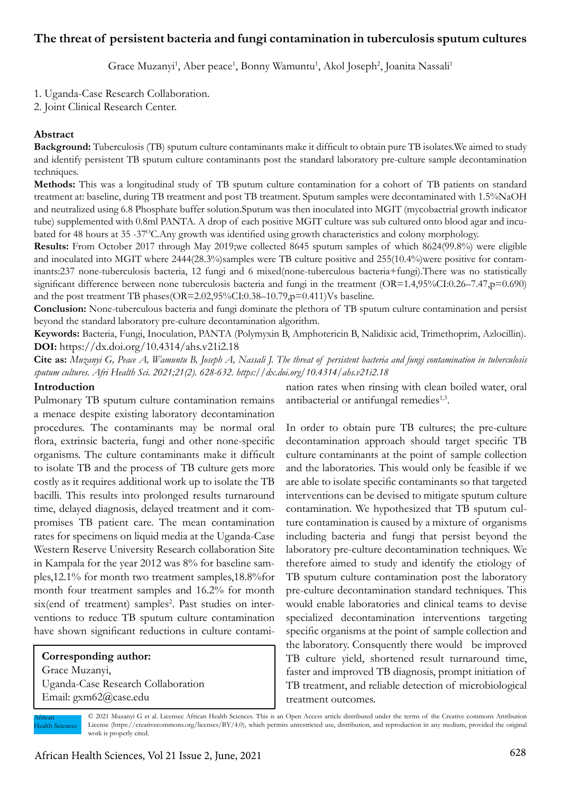# **The threat of persistent bacteria and fungi contamination in tuberculosis sputum cultures**

Grace Muzanyi<sup>1</sup>, Aber peace<sup>1</sup>, Bonny Wamuntu<sup>1</sup>, Akol Joseph<sup>2</sup>, Joanita Nassali<sup>1</sup>

1. Uganda-Case Research Collaboration.

2. Joint Clinical Research Center.

### **Abstract**

**Background:** Tuberculosis (TB) sputum culture contaminants make it difficult to obtain pure TB isolates.We aimed to study and identify persistent TB sputum culture contaminants post the standard laboratory pre-culture sample decontamination techniques.

**Methods:** This was a longitudinal study of TB sputum culture contamination for a cohort of TB patients on standard treatment at: baseline, during TB treatment and post TB treatment. Sputum samples were decontaminated with 1.5%NaOH and neutralized using 6.8 Phosphate buffer solution.Sputum was then inoculated into MGIT (mycobactrial growth indicator tube) supplemented with 0.8ml PANTA. A drop of each positive MGIT culture was sub cultured onto blood agar and incubated for 48 hours at 35 -37OC.Any growth was identified using growth characteristics and colony morphology.

**Results:** From October 2017 through May 2019;we collected 8645 sputum samples of which 8624(99.8%) were eligible and inoculated into MGIT where 2444(28.3%)samples were TB culture positive and 255(10.4%)were positive for contaminants:237 none-tuberculosis bacteria, 12 fungi and 6 mixed(none-tuberculous bacteria+fungi).There was no statistically significant difference between none tuberculosis bacteria and fungi in the treatment  $(OR=1.4,95\%CI:0.26-7.47,p=0.690)$ and the post treatment TB phases(OR=2.02,95%CI:0.38–10.79,p=0.411)Vs baseline.

**Conclusion:** None-tuberculous bacteria and fungi dominate the plethora of TB sputum culture contamination and persist beyond the standard laboratory pre-culture decontamination algorithm.

**Keywords:** Bacteria, Fungi, Inoculation, PANTA (Polymyxin B, Amphotericin B, Nalidixic acid, Trimethoprim, Azlocillin). **DOI:** https://dx.doi.org/10.4314/ahs.v21i2.18

**Cite as:** *Muzanyi G, Peace A, Wamuntu B, Joseph A, Nassali J. The threat of persistent bacteria and fungi contamination in tuberculosis sputum cultures. Afri Health Sci. 2021;21(2). 628-632. https://dx.doi.org/10.4314/ahs.v21i2.18*

#### **Introduction**

Pulmonary TB sputum culture contamination remains a menace despite existing laboratory decontamination procedures. The contaminants may be normal oral flora, extrinsic bacteria, fungi and other none-specific organisms. The culture contaminants make it difficult to isolate TB and the process of TB culture gets more costly as it requires additional work up to isolate the TB bacilli. This results into prolonged results turnaround time, delayed diagnosis, delayed treatment and it compromises TB patient care. The mean contamination rates for specimens on liquid media at the Uganda-Case Western Reserve University Research collaboration Site in Kampala for the year 2012 was 8% for baseline samples,12.1% for month two treatment samples,18.8%for month four treatment samples and 16.2% for month six(end of treatment) samples<sup>2</sup>. Past studies on interventions to reduce TB sputum culture contamination have shown significant reductions in culture contami-

## **Corresponding author:**  Grace Muzanyi, Uganda-Case Research Collaboration Email: gxm62@case.edu

nation rates when rinsing with clean boiled water, oral antibacterial or antifungal remedies<sup>1,3</sup>.

In order to obtain pure TB cultures; the pre-culture decontamination approach should target specific TB culture contaminants at the point of sample collection and the laboratories. This would only be feasible if we are able to isolate specific contaminants so that targeted interventions can be devised to mitigate sputum culture contamination. We hypothesized that TB sputum culture contamination is caused by a mixture of organisms including bacteria and fungi that persist beyond the laboratory pre-culture decontamination techniques. We therefore aimed to study and identify the etiology of TB sputum culture contamination post the laboratory pre-culture decontamination standard techniques. This would enable laboratories and clinical teams to devise specialized decontamination interventions targeting specific organisms at the point of sample collection and the laboratory. Consquently there would be improved TB culture yield, shortened result turnaround time, faster and improved TB diagnosis, prompt initiation of TB treatment, and reliable detection of microbiological treatment outcomes.

African Health Sciences © 2021 Muzanyi G et al. Licensee African Health Sciences. This is an Open Access article distributed under the terms of the Creative commons Attribution License (https://creativecommons.org/licenses/BY/4.0), which permits unrestricted use, distribution, and reproduction in any medium, provided the original work is properly cited.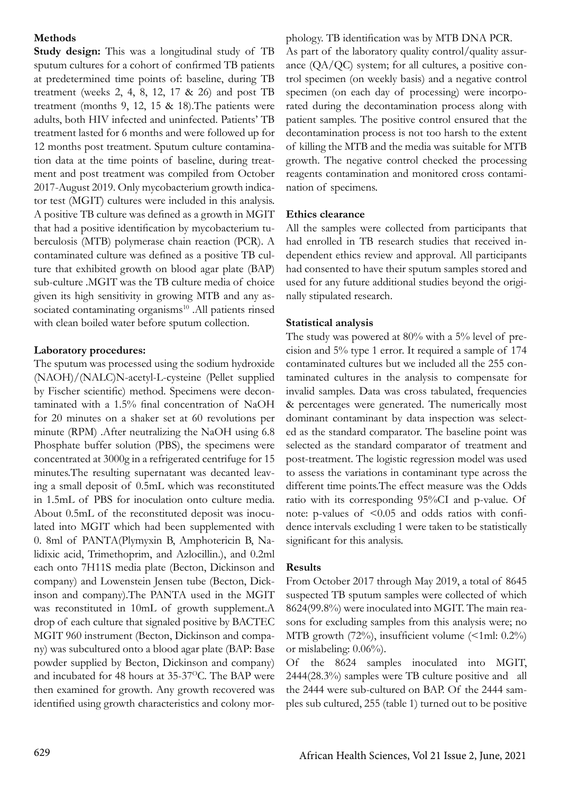## **Methods**

**Study design:** This was a longitudinal study of TB sputum cultures for a cohort of confirmed TB patients at predetermined time points of: baseline, during TB treatment (weeks 2, 4, 8, 12, 17 & 26) and post TB treatment (months 9, 12, 15 & 18).The patients were adults, both HIV infected and uninfected. Patients' TB treatment lasted for 6 months and were followed up for 12 months post treatment. Sputum culture contamination data at the time points of baseline, during treatment and post treatment was compiled from October 2017-August 2019. Only mycobacterium growth indicator test (MGIT) cultures were included in this analysis. A positive TB culture was defined as a growth in MGIT that had a positive identification by mycobacterium tuberculosis (MTB) polymerase chain reaction (PCR). A contaminated culture was defined as a positive TB culture that exhibited growth on blood agar plate (BAP) sub-culture .MGIT was the TB culture media of choice given its high sensitivity in growing MTB and any associated contaminating organisms<sup>10</sup> .All patients rinsed with clean boiled water before sputum collection.

### **Laboratory procedures:**

The sputum was processed using the sodium hydroxide (NAOH)/(NALC)N-acetyl-L-cysteine (Pellet supplied by Fischer scientific) method. Specimens were decontaminated with a 1.5% final concentration of NaOH for 20 minutes on a shaker set at 60 revolutions per minute (RPM) .After neutralizing the NaOH using 6.8 Phosphate buffer solution (PBS), the specimens were concentrated at 3000g in a refrigerated centrifuge for 15 minutes.The resulting supernatant was decanted leaving a small deposit of 0.5mL which was reconstituted in 1.5mL of PBS for inoculation onto culture media. About 0.5mL of the reconstituted deposit was inoculated into MGIT which had been supplemented with 0. 8ml of PANTA(Plymyxin B, Amphotericin B, Nalidixic acid, Trimethoprim, and Azlocillin.), and 0.2ml each onto 7H11S media plate (Becton, Dickinson and company) and Lowenstein Jensen tube (Becton, Dickinson and company).The PANTA used in the MGIT was reconstituted in 10mL of growth supplement.A drop of each culture that signaled positive by BACTEC MGIT 960 instrument (Becton, Dickinson and company) was subcultured onto a blood agar plate (BAP: Base powder supplied by Becton, Dickinson and company) and incubated for 48 hours at 35-37<sup>o</sup>C. The BAP were then examined for growth. Any growth recovered was identified using growth characteristics and colony morphology. TB identification was by MTB DNA PCR. As part of the laboratory quality control/quality assurance  $(QA/QC)$  system; for all cultures, a positive control specimen (on weekly basis) and a negative control specimen (on each day of processing) were incorporated during the decontamination process along with patient samples. The positive control ensured that the decontamination process is not too harsh to the extent of killing the MTB and the media was suitable for MTB growth. The negative control checked the processing reagents contamination and monitored cross contamination of specimens.

### **Ethics clearance**

All the samples were collected from participants that had enrolled in TB research studies that received independent ethics review and approval. All participants had consented to have their sputum samples stored and used for any future additional studies beyond the originally stipulated research.

### **Statistical analysis**

The study was powered at 80% with a 5% level of precision and 5% type 1 error. It required a sample of 174 contaminated cultures but we included all the 255 contaminated cultures in the analysis to compensate for invalid samples. Data was cross tabulated, frequencies & percentages were generated. The numerically most dominant contaminant by data inspection was selected as the standard comparator. The baseline point was selected as the standard comparator of treatment and post-treatment. The logistic regression model was used to assess the variations in contaminant type across the different time points.The effect measure was the Odds ratio with its corresponding 95%CI and p-value. Of note: p-values of  $\leq 0.05$  and odds ratios with confidence intervals excluding 1 were taken to be statistically significant for this analysis.

### **Results**

From October 2017 through May 2019, a total of 8645 suspected TB sputum samples were collected of which 8624(99.8%) were inoculated into MGIT. The main reasons for excluding samples from this analysis were; no MTB growth (72%), insufficient volume (<1ml: 0.2%) or mislabeling: 0.06%).

Of the 8624 samples inoculated into MGIT, 2444(28.3%) samples were TB culture positive and all the 2444 were sub-cultured on BAP. Of the 2444 samples sub cultured, 255 (table 1) turned out to be positive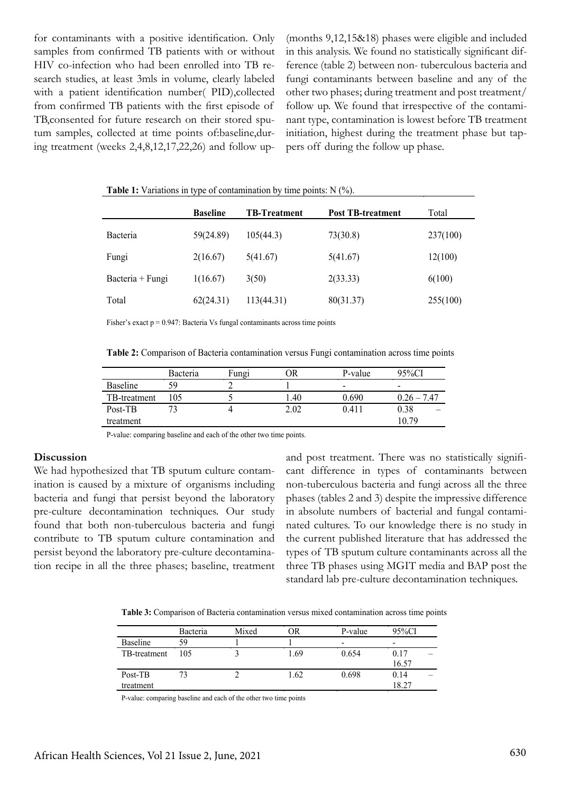for contaminants with a positive identification. Only samples from confirmed TB patients with or without HIV co-infection who had been enrolled into TB research studies, at least 3mls in volume, clearly labeled with a patient identification number( PID),collected from confirmed TB patients with the first episode of TB,consented for future research on their stored sputum samples, collected at time points of:baseline,during treatment (weeks 2,4,8,12,17,22,26) and follow up(months 9,12,15&18) phases were eligible and included in this analysis. We found no statistically significant difference (table 2) between non- tuberculous bacteria and fungi contaminants between baseline and any of the other two phases; during treatment and post treatment/ follow up. We found that irrespective of the contaminant type, contamination is lowest before TB treatment initiation, highest during the treatment phase but tappers off during the follow up phase.

|                  | <b>Baseline</b> | <b>TB-Treatment</b> | <b>Post TB-treatment</b> | Total    |
|------------------|-----------------|---------------------|--------------------------|----------|
| Bacteria         | 59(24.89)       | 105(44.3)           | 73(30.8)                 | 237(100) |
| Fungi            | 2(16.67)        | 5(41.67)            | 5(41.67)                 | 12(100)  |
| Bacteria + Fungi | 1(16.67)        | 3(50)               | 2(33.33)                 | 6(100)   |
| Total            | 62(24.31)       | 113(44.31)          | 80(31.37)                | 255(100) |

Fisher's exact  $p = 0.947$ : Bacteria Vs fungal contaminants across time points

**Table 1:** Variations in type of contamination by time points: N (%).

**Table 2:** Comparison of Bacteria contamination versus Fungi contamination across time points

|                 | Bacteria | Fungi | ОR   | P-value | 95%CI         |
|-----------------|----------|-------|------|---------|---------------|
| <b>Baseline</b> | 59       |       |      | $\,$    | -             |
| TB-treatment    | 105      |       | 1.40 | 0.690   | $0.26 - 7.47$ |
| Post-TB         |          |       | 2.02 | 0.411   | 0.38          |
| treatment       |          |       |      |         | 10.79         |

P-value: comparing baseline and each of the other two time points.

#### **Discussion**

We had hypothesized that TB sputum culture contamination is caused by a mixture of organisms including bacteria and fungi that persist beyond the laboratory pre-culture decontamination techniques. Our study found that both non-tuberculous bacteria and fungi contribute to TB sputum culture contamination and persist beyond the laboratory pre-culture decontamination recipe in all the three phases; baseline, treatment and post treatment. There was no statistically significant difference in types of contaminants between non-tuberculous bacteria and fungi across all the three phases (tables 2 and 3) despite the impressive difference in absolute numbers of bacterial and fungal contaminated cultures. To our knowledge there is no study in the current published literature that has addressed the types of TB sputum culture contaminants across all the three TB phases using MGIT media and BAP post the standard lab pre-culture decontamination techniques.

**Table 3:** Comparison of Bacteria contamination versus mixed contamination across time points

|                 | Bacteria | Mixed | OR   | P-value                  | 95%CI |
|-----------------|----------|-------|------|--------------------------|-------|
| <b>Baseline</b> | 59       |       |      | $\overline{\phantom{a}}$ | -     |
| TB-treatment    | 105      |       | 1.69 | 0.654                    | 0.17  |
|                 |          |       |      |                          | 16.57 |
| Post-TB         |          |       | 1.62 | 0.698                    | 0.14  |
| treatment       |          |       |      |                          | 18.27 |

P-value: comparing baseline and each of the other two time points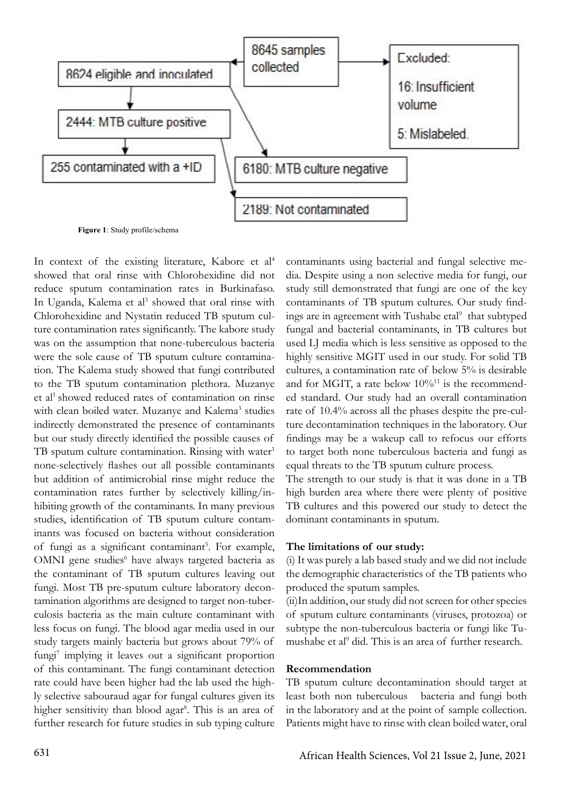

In context of the existing literature, Kabore et al<sup>4</sup> showed that oral rinse with Chlorohexidine did not reduce sputum contamination rates in Burkinafaso. In Uganda, Kalema et al<sup>3</sup> showed that oral rinse with Chlorohexidine and Nystatin reduced TB sputum culture contamination rates significantly. The kabore study was on the assumption that none-tuberculous bacteria were the sole cause of TB sputum culture contamination. The Kalema study showed that fungi contributed to the TB sputum contamination plethora. Muzanye et al<sup>1</sup> showed reduced rates of contamination on rinse with clean boiled water. Muzanye and Kalema<sup>3</sup> studies indirectly demonstrated the presence of contaminants but our study directly identified the possible causes of TB sputum culture contamination. Rinsing with water<sup>1</sup> none-selectively flashes out all possible contaminants but addition of antimicrobial rinse might reduce the contamination rates further by selectively killing/inhibiting growth of the contaminants. In many previous studies, identification of TB sputum culture contaminants was focused on bacteria without consideration of fungi as a significant contaminant<sup>5</sup>. For example, OMNI gene studies<sup>6</sup> have always targeted bacteria as the contaminant of TB sputum cultures leaving out fungi. Most TB pre-sputum culture laboratory decontamination algorithms are designed to target non-tuberculosis bacteria as the main culture contaminant with less focus on fungi. The blood agar media used in our study targets mainly bacteria but grows about 79% of fungi<sup>7</sup> implying it leaves out a significant proportion of this contaminant. The fungi contaminant detection rate could have been higher had the lab used the highly selective sabouraud agar for fungal cultures given its higher sensitivity than blood agar<sup>8</sup>. This is an area of further research for future studies in sub typing culture

contaminants using bacterial and fungal selective media. Despite using a non selective media for fungi, our study still demonstrated that fungi are one of the key contaminants of TB sputum cultures. Our study findings are in agreement with Tushabe etal<sup>9</sup> that subtyped fungal and bacterial contaminants, in TB cultures but used LJ media which is less sensitive as opposed to the highly sensitive MGIT used in our study. For solid TB cultures, a contamination rate of below 5% is desirable and for MGIT, a rate below  $10\%^{11}$  is the recommended standard. Our study had an overall contamination rate of 10.4% across all the phases despite the pre-culture decontamination techniques in the laboratory. Our findings may be a wakeup call to refocus our efforts to target both none tuberculous bacteria and fungi as equal threats to the TB sputum culture process.

The strength to our study is that it was done in a TB high burden area where there were plenty of positive TB cultures and this powered our study to detect the dominant contaminants in sputum.

#### **The limitations of our study:**

(i) It was purely a lab based study and we did not include the demographic characteristics of the TB patients who produced the sputum samples.

(ii)In addition, our study did not screen for other species of sputum culture contaminants (viruses, protozoa) or subtype the non-tuberculous bacteria or fungi like Tumushabe et al<sup>9</sup> did. This is an area of further research.

#### **Recommendation**

TB sputum culture decontamination should target at least both non tuberculous bacteria and fungi both in the laboratory and at the point of sample collection. Patients might have to rinse with clean boiled water, oral